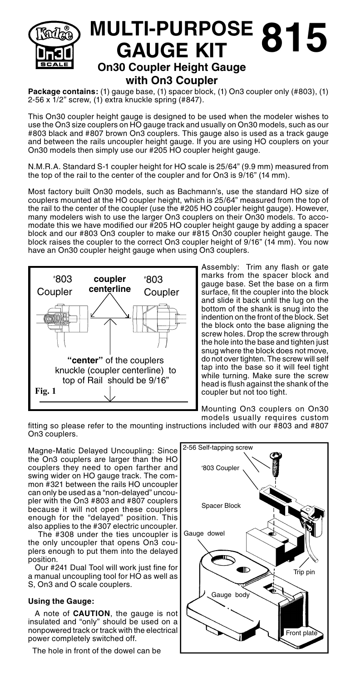

## **MULTI-PURPOSE 815 GAUGE KIT On30 Coupler Height Gauge with On3 Coupler**

**Package contains:** (1) gauge base, (1) spacer block, (1) On3 coupler only (#803), (1) 2-56 x 1/2" screw, (1) extra knuckle spring (#847).

This On30 coupler height gauge is designed to be used when the modeler wishes to use the On3 size couplers on HO gauge track and usually on On30 models, such as our #803 black and #807 brown On3 couplers. This gauge also is used as a track gauge and between the rails uncoupler height gauge. If you are using HO couplers on your On30 models then simply use our #205 HO coupler height gauge.

N.M.R.A. Standard S-1 coupler height for HO scale is 25/64" (9.9 mm) measured from the top of the rail to the center of the coupler and for On3 is 9/16" (14 mm).

Most factory built On30 models, such as Bachmann's, use the standard HO size of couplers mounted at the HO coupler height, which is 25/64" measured from the top of the rail to the center of the coupler (use the #205 HO coupler height gauge). However, many modelers wish to use the larger On3 couplers on their On30 models. To accomodate this we have modified our #205 HO coupler height gauge by adding a spacer block and our #803 On3 coupler to make our #815 On30 coupler height gauge. The block raises the coupler to the correct On3 coupler height of 9/16" (14 mm). You now have an On30 coupler height gauge when using On3 couplers.



Assembly: Trim any flash or gate marks from the spacer block and gauge base. Set the base on a firm surface, fit the coupler into the block and slide it back until the lug on the bottom of the shank is snug into the indention on the front of the block. Set the block onto the base aligning the screw holes. Drop the screw through the hole into the base and tighten just snug where the block does not move, do not over tighten. The screw will self tap into the base so it will feel tight while turning. Make sure the screw head is flush against the shank of the coupler but not too tight.

Mounting On3 couplers on On30 models usually requires custom

fitting so please refer to the mounting instructions included with our #803 and #807 On3 couplers.

Magne-Matic Delayed Uncoupling: Since the On3 couplers are larger than the HO couplers they need to open farther and swing wider on HO gauge track. The common #321 between the rails HO uncoupler can only be used as a "non-delayed" uncoupler with the On3 #803 and #807 couplers because it will not open these couplers enough for the "delayed" position. This also applies to the #307 electric uncoupler.

 The #308 under the ties uncoupler is the only uncoupler that opens On3 couplers enough to put them into the delayed position.

 Our #241 Dual Tool will work just fine for a manual uncoupling tool for HO as well as S, On3 and O scale couplers.

## **Using the Gauge:**

 A note of **CAUTION**, the gauge is not insulated and "only" should be used on a nonpowered track or track with the electrical power completely switched off.

The hole in front of the dowel can be